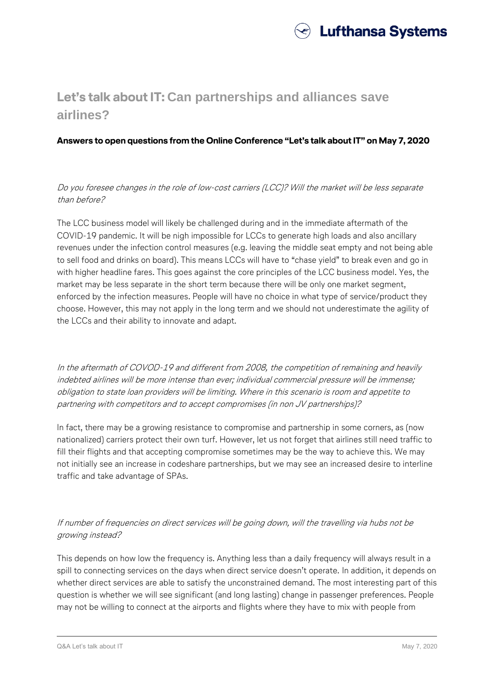

# **Let's talk about IT: Can partnerships and alliances save airlines?**

### **Answers to open questions from the Online Conference "Let's talk about IT" on May 7, 2020**

Do you foresee changes in the role of low-cost carriers (LCC)? Will the market will be less separate than before?

The LCC business model will likely be challenged during and in the immediate aftermath of the COVID-19 pandemic. It will be nigh impossible for LCCs to generate high loads and also ancillary revenues under the infection control measures (e.g. leaving the middle seat empty and not being able to sell food and drinks on board). This means LCCs will have to "chase yield" to break even and go in with higher headline fares. This goes against the core principles of the LCC business model. Yes, the market may be less separate in the short term because there will be only one market segment, enforced by the infection measures. People will have no choice in what type of service/product they choose. However, this may not apply in the long term and we should not underestimate the agility of the LCCs and their ability to innovate and adapt.

In the aftermath of COVOD-19 and different from 2008, the competition of remaining and heavily indebted airlines will be more intense than ever; individual commercial pressure will be immense; obligation to state loan providers will be limiting. Where in this scenario is room and appetite to partnering with competitors and to accept compromises (in non JV partnerships)?

In fact, there may be a growing resistance to compromise and partnership in some corners, as (now nationalized) carriers protect their own turf. However, let us not forget that airlines still need traffic to fill their flights and that accepting compromise sometimes may be the way to achieve this. We may not initially see an increase in codeshare partnerships, but we may see an increased desire to interline traffic and take advantage of SPAs.

# If number of frequencies on direct services will be going down, will the travelling via hubs not be growing instead?

This depends on how low the frequency is. Anything less than a daily frequency will always result in a spill to connecting services on the days when direct service doesn't operate. In addition, it depends on whether direct services are able to satisfy the unconstrained demand. The most interesting part of this question is whether we will see significant (and long lasting) change in passenger preferences. People may not be willing to connect at the airports and flights where they have to mix with people from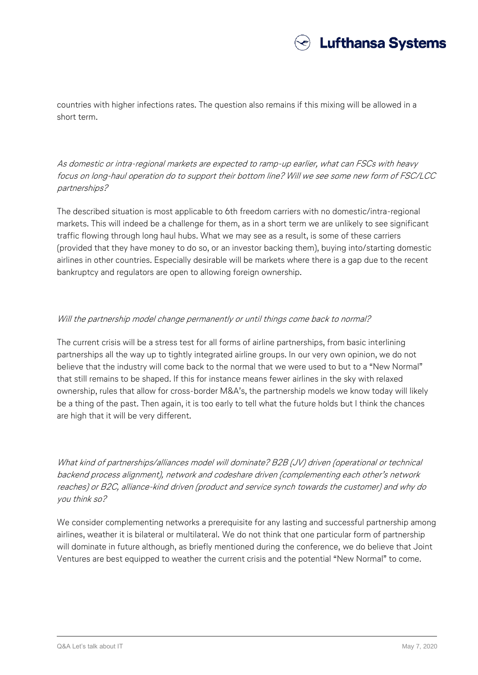

countries with higher infections rates. The question also remains if this mixing will be allowed in a short term.

As domestic or intra-regional markets are expected to ramp-up earlier, what can FSCs with heavy focus on long-haul operation do to support their bottom line? Will we see some new form of FSC/LCC partnerships?

The described situation is most applicable to 6th freedom carriers with no domestic/intra-regional markets. This will indeed be a challenge for them, as in a short term we are unlikely to see significant traffic flowing through long haul hubs. What we may see as a result, is some of these carriers (provided that they have money to do so, or an investor backing them), buying into/starting domestic airlines in other countries. Especially desirable will be markets where there is a gap due to the recent bankruptcy and regulators are open to allowing foreign ownership.

### Will the partnership model change permanently or until things come back to normal?

The current crisis will be a stress test for all forms of airline partnerships, from basic interlining partnerships all the way up to tightly integrated airline groups. In our very own opinion, we do not believe that the industry will come back to the normal that we were used to but to a "New Normal" that still remains to be shaped. If this for instance means fewer airlines in the sky with relaxed ownership, rules that allow for cross-border M&A's, the partnership models we know today will likely be a thing of the past. Then again, it is too early to tell what the future holds but I think the chances are high that it will be very different.

What kind of partnerships/alliances model will dominate? B2B (JV) driven (operational or technical backend process alignment), network and codeshare driven (complementing each other's network reaches) or B2C, alliance-kind driven (product and service synch towards the customer) and why do you think so?

We consider complementing networks a prerequisite for any lasting and successful partnership among airlines, weather it is bilateral or multilateral. We do not think that one particular form of partnership will dominate in future although, as briefly mentioned during the conference, we do believe that Joint Ventures are best equipped to weather the current crisis and the potential "New Normal" to come.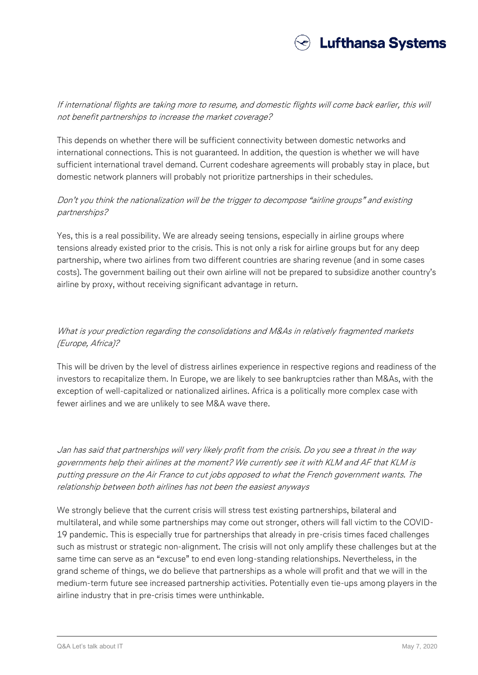

If international flights are taking more to resume, and domestic flights will come back earlier, this will not benefit partnerships to increase the market coverage?

This depends on whether there will be sufficient connectivity between domestic networks and international connections. This is not guaranteed. In addition, the question is whether we will have sufficient international travel demand. Current codeshare agreements will probably stay in place, but domestic network planners will probably not prioritize partnerships in their schedules.

# Don't you think the nationalization will be the trigger to decompose "airline groups" and existing partnerships?

Yes, this is a real possibility. We are already seeing tensions, especially in airline groups where tensions already existed prior to the crisis. This is not only a risk for airline groups but for any deep partnership, where two airlines from two different countries are sharing revenue (and in some cases costs). The government bailing out their own airline will not be prepared to subsidize another country's airline by proxy, without receiving significant advantage in return.

# What is your prediction regarding the consolidations and M&As in relatively fragmented markets (Europe, Africa)?

This will be driven by the level of distress airlines experience in respective regions and readiness of the investors to recapitalize them. In Europe, we are likely to see bankruptcies rather than M&As, with the exception of well-capitalized or nationalized airlines. Africa is a politically more complex case with fewer airlines and we are unlikely to see M&A wave there.

Jan has said that partnerships will very likely profit from the crisis. Do you see a threat in the way governments help their airlines at the moment? We currently see it with KLM and AF that KLM is putting pressure on the Air France to cut jobs opposed to what the French government wants. The relationship between both airlines has not been the easiest anyways

We strongly believe that the current crisis will stress test existing partnerships, bilateral and multilateral, and while some partnerships may come out stronger, others will fall victim to the COVID-19 pandemic. This is especially true for partnerships that already in pre-crisis times faced challenges such as mistrust or strategic non-alignment. The crisis will not only amplify these challenges but at the same time can serve as an "excuse" to end even long-standing relationships. Nevertheless, in the grand scheme of things, we do believe that partnerships as a whole will profit and that we will in the medium-term future see increased partnership activities. Potentially even tie-ups among players in the airline industry that in pre-crisis times were unthinkable.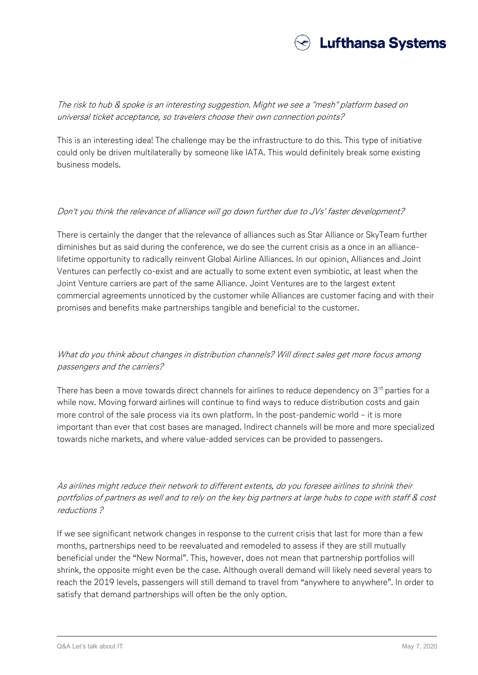

The risk to hub & spoke is an interesting suggestion. Might we see a "mesh" platform based on universal ticket acceptance, so travelers choose their own connection points?

This is an interesting idea! The challenge may be the infrastructure to do this. This type of initiative could only be driven multilaterally by someone like IATA. This would definitely break some existing business models.

#### Don't you think the relevance of alliance will go down further due to JVs' faster development?

There is certainly the danger that the relevance of alliances such as Star Alliance or SkyTeam further diminishes but as said during the conference, we do see the current crisis as a once in an alliancelifetime opportunity to radically reinvent Global Airline Alliances. In our opinion, Alliances and Joint Ventures can perfectly co-exist and are actually to some extent even symbiotic, at least when the Joint Venture carriers are part of the same Alliance. Joint Ventures are to the largest extent commercial agreements unnoticed by the customer while Alliances are customer facing and with their promises and benefits make partnerships tangible and beneficial to the customer.

# What do you think about changes in distribution channels? Will direct sales get more focus among passengers and the carriers?

There has been a move towards direct channels for airlines to reduce dependency on 3<sup>rd</sup> parties for a while now. Moving forward airlines will continue to find ways to reduce distribution costs and gain more control of the sale process via its own platform. In the post-pandemic world – it is more important than ever that cost bases are managed. Indirect channels will be more and more specialized towards niche markets, and where value-added services can be provided to passengers.

As airlines might reduce their network to different extents, do you foresee airlines to shrink their portfolios of partners as well and to rely on the key big partners at large hubs to cope with staff & cost reductions ?

If we see significant network changes in response to the current crisis that last for more than a few months, partnerships need to be reevaluated and remodeled to assess if they are still mutually beneficial under the "New Normal". This, however, does not mean that partnership portfolios will shrink, the opposite might even be the case. Although overall demand will likely need several years to reach the 2019 levels, passengers will still demand to travel from "anywhere to anywhere". In order to satisfy that demand partnerships will often be the only option.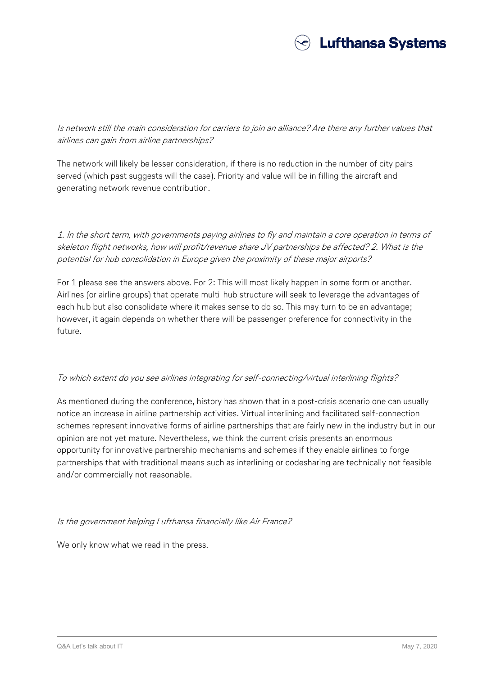

Is network still the main consideration for carriers to join an alliance? Are there any further values that airlines can gain from airline partnerships?

The network will likely be lesser consideration, if there is no reduction in the number of city pairs served (which past suggests will the case). Priority and value will be in filling the aircraft and generating network revenue contribution.

1. In the short term, with governments paying airlines to fly and maintain a core operation in terms of skeleton flight networks, how will profit/revenue share JV partnerships be affected? 2. What is the potential for hub consolidation in Europe given the proximity of these major airports?

For 1 please see the answers above. For 2: This will most likely happen in some form or another. Airlines (or airline groups) that operate multi-hub structure will seek to leverage the advantages of each hub but also consolidate where it makes sense to do so. This may turn to be an advantage; however, it again depends on whether there will be passenger preference for connectivity in the future.

### To which extent do you see airlines integrating for self-connecting/virtual interlining flights?

As mentioned during the conference, history has shown that in a post-crisis scenario one can usually notice an increase in airline partnership activities. Virtual interlining and facilitated self-connection schemes represent innovative forms of airline partnerships that are fairly new in the industry but in our opinion are not yet mature. Nevertheless, we think the current crisis presents an enormous opportunity for innovative partnership mechanisms and schemes if they enable airlines to forge partnerships that with traditional means such as interlining or codesharing are technically not feasible and/or commercially not reasonable.

### Is the government helping Lufthansa financially like Air France?

We only know what we read in the press.